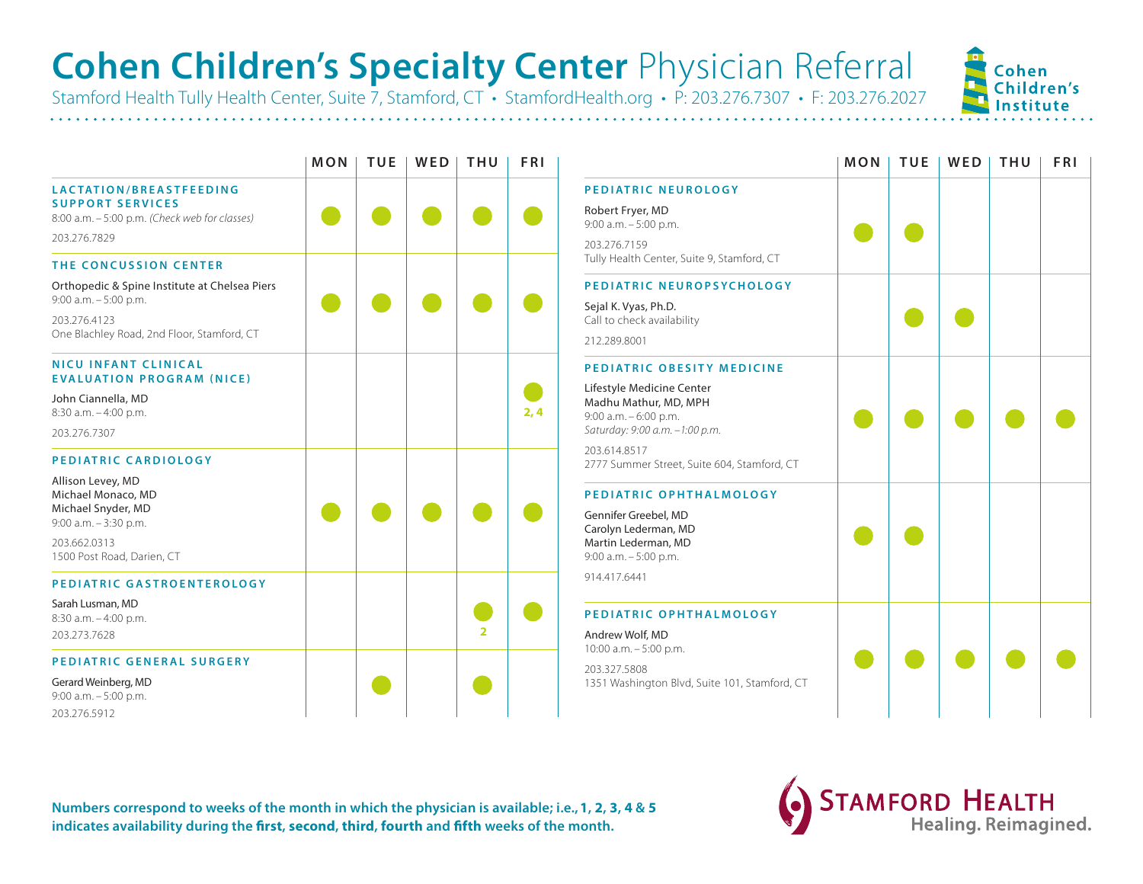## **Cohen Children's Specialty Center** Physician Referral

Stamford Health Tully Health Center, Suite 7, Stamford, CT • StamfordHealth.org • P: 203.276.7307 • F: 203.276.2027

|                                                                                                                                         | <b>MON</b> | <b>TUE</b> | WED | <b>THU</b> | <b>FRI</b> |
|-----------------------------------------------------------------------------------------------------------------------------------------|------------|------------|-----|------------|------------|
| LACTATION/BREASTFEEDING<br><b>SUPPORT SERVICES</b><br>8:00 a.m. - 5:00 p.m. (Check web for classes)<br>203.276.7829                     |            |            |     |            |            |
| THE CONCUSSION CENTER                                                                                                                   |            |            |     |            |            |
| Orthopedic & Spine Institute at Chelsea Piers<br>$9:00$ a.m. $-5:00$ p.m.<br>203.276.4123<br>One Blachley Road, 2nd Floor, Stamford, CT |            |            |     |            |            |
| <b>NICU INFANT CLINICAL</b><br><b>EVALUATION PROGRAM (NICE)</b>                                                                         |            |            |     |            |            |
| John Ciannella, MD<br>8:30 a.m. - 4:00 p.m.<br>203.276.7307                                                                             |            |            |     |            | 2,4        |
| PEDIATRIC CARDIOLOGY                                                                                                                    |            |            |     |            |            |
| Allison Levey, MD<br>Michael Monaco, MD<br>Michael Snyder, MD<br>$9:00$ a.m. $-3:30$ p.m.<br>203.662.0313                               |            |            |     |            |            |
| 1500 Post Road, Darien, CT<br>PEDIATRIC GASTROENTEROLOGY                                                                                |            |            |     |            |            |
| Sarah Lusman, MD<br>8:30 a.m. - 4:00 p.m.<br>203.273.7628                                                                               |            |            |     | 2          |            |
| PEDIATRIC GENERAL SURGERY                                                                                                               |            |            |     |            |            |
| Gerard Weinberg, MD<br>$9:00$ a.m. $-5:00$ p.m.<br>203.276.5912                                                                         |            |            |     |            |            |

| MON | <b>TUE</b> | WED | THU            | <b>FRI</b> |                                                                                                                                                                                                            | MON | <b>TUE</b> | WED | THU | <b>FRI</b> |
|-----|------------|-----|----------------|------------|------------------------------------------------------------------------------------------------------------------------------------------------------------------------------------------------------------|-----|------------|-----|-----|------------|
|     |            |     |                |            | PEDIATRIC NEUROLOGY<br>Robert Fryer, MD<br>9:00 a.m. - 5:00 p.m.<br>203.276.7159<br>Tully Health Center, Suite 9, Stamford, CT                                                                             |     |            |     |     |            |
|     |            |     |                |            | PEDIATRIC NEUROPSYCHOLOGY<br>Sejal K. Vyas, Ph.D.<br>Call to check availability<br>212.289.8001                                                                                                            |     |            |     |     |            |
|     |            |     |                | 2,4        | PEDIATRIC OBESITY MEDICINE<br>Lifestyle Medicine Center<br>Madhu Mathur, MD, MPH<br>9:00 a.m. - 6:00 p.m.<br>Saturday: 9:00 a.m. -1:00 p.m.<br>203.614.8517<br>2777 Summer Street, Suite 604, Stamford, CT |     |            |     |     |            |
|     |            |     |                |            | PEDIATRIC OPHTHALMOLOGY<br>Gennifer Greebel, MD<br>Carolyn Lederman, MD<br>Martin Lederman, MD<br>9:00 a.m. - 5:00 p.m.<br>914.417.6441                                                                    |     |            |     |     |            |
|     |            |     | $\overline{2}$ |            | PEDIATRIC OPHTHALMOLOGY<br>Andrew Wolf, MD<br>10:00 a.m. - 5:00 p.m.<br>203.327.5808<br>1351 Washington Blvd, Suite 101, Stamford, CT                                                                      |     |            |     |     |            |
|     |            |     |                |            |                                                                                                                                                                                                            |     |            |     |     |            |

**Numbers correspond to weeks of the month in which the physician is available; i.e., 1, 2, 3, 4 & 5 indicates availability during the first, second, third, fourth and fifth weeks of the month.**



Cohen Children's